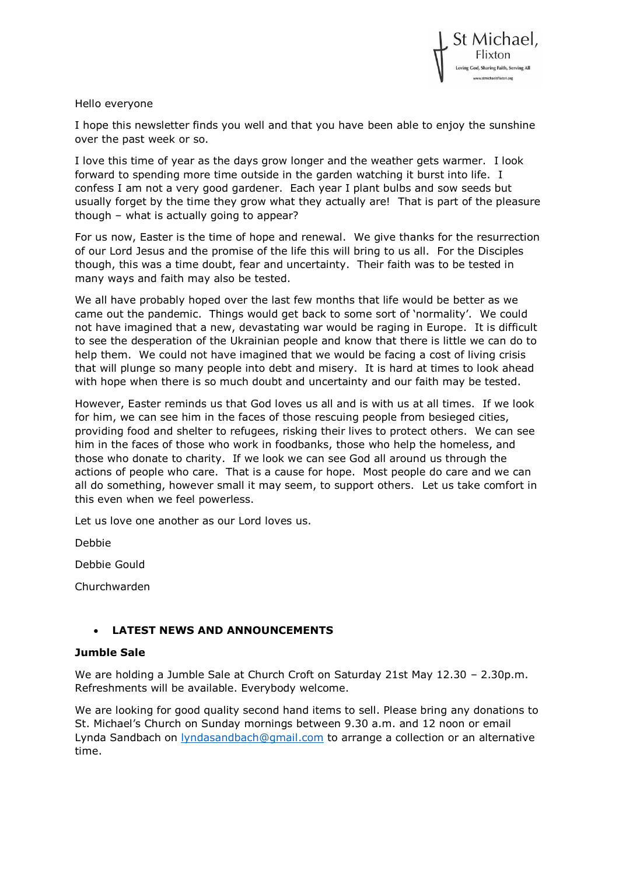

## Hello everyone

I hope this newsletter finds you well and that you have been able to enjoy the sunshine over the past week or so.

I love this time of year as the days grow longer and the weather gets warmer. I look forward to spending more time outside in the garden watching it burst into life. I confess I am not a very good gardener. Each year I plant bulbs and sow seeds but usually forget by the time they grow what they actually are! That is part of the pleasure though – what is actually going to appear?

For us now, Easter is the time of hope and renewal. We give thanks for the resurrection of our Lord Jesus and the promise of the life this will bring to us all. For the Disciples though, this was a time doubt, fear and uncertainty. Their faith was to be tested in many ways and faith may also be tested.

We all have probably hoped over the last few months that life would be better as we came out the pandemic. Things would get back to some sort of 'normality'. We could not have imagined that a new, devastating war would be raging in Europe. It is difficult to see the desperation of the Ukrainian people and know that there is little we can do to help them. We could not have imagined that we would be facing a cost of living crisis that will plunge so many people into debt and misery. It is hard at times to look ahead with hope when there is so much doubt and uncertainty and our faith may be tested.

However, Easter reminds us that God loves us all and is with us at all times. If we look for him, we can see him in the faces of those rescuing people from besieged cities, providing food and shelter to refugees, risking their lives to protect others. We can see him in the faces of those who work in foodbanks, those who help the homeless, and those who donate to charity. If we look we can see God all around us through the actions of people who care. That is a cause for hope. Most people do care and we can all do something, however small it may seem, to support others. Let us take comfort in this even when we feel powerless.

Let us love one another as our Lord loves us.

Debbie

Debbie Gould

Churchwarden

# • **LATEST NEWS AND ANNOUNCEMENTS**

### **Jumble Sale**

We are holding a Jumble Sale at Church Croft on Saturday 21st May 12.30 – 2.30p.m. Refreshments will be available. Everybody welcome.

We are looking for good quality second hand items to sell. Please bring any donations to St. Michael's Church on Sunday mornings between 9.30 a.m. and 12 noon or email Lynda Sandbach on [lyndasandbach@gmail.com](mailto:lyndasandbach@gmail.com?subject=Jumble%20Sale) to arrange a collection or an alternative time.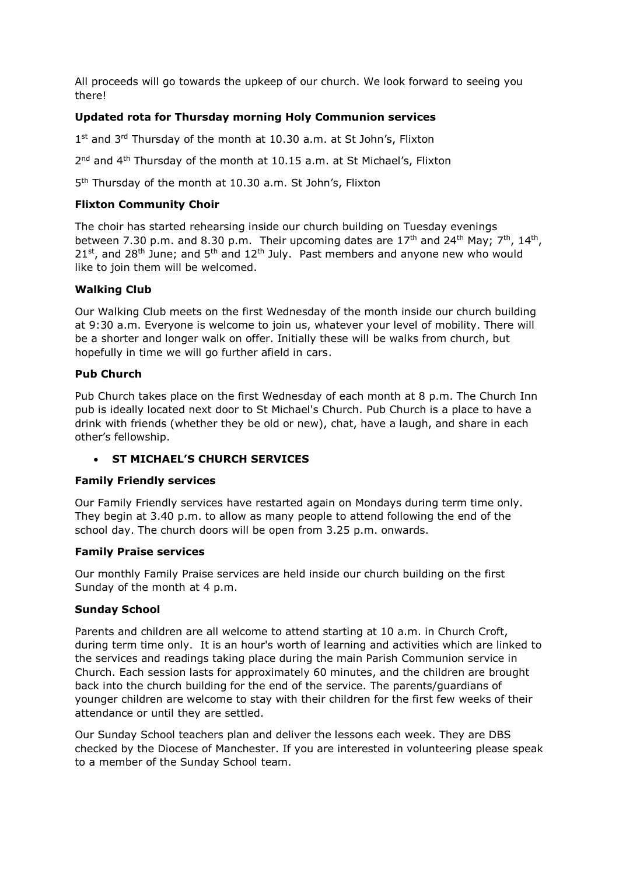All proceeds will go towards the upkeep of our church. We look forward to seeing you there!

## **Updated rota for Thursday morning Holy Communion services**

1<sup>st</sup> and 3<sup>rd</sup> Thursday of the month at 10.30 a.m. at St John's, Flixton

2<sup>nd</sup> and 4<sup>th</sup> Thursday of the month at 10.15 a.m. at St Michael's, Flixton

5<sup>th</sup> Thursday of the month at 10.30 a.m. St John's, Flixton

## **Flixton Community Choir**

The choir has started rehearsing inside our church building on Tuesday evenings between 7.30 p.m. and 8.30 p.m. Their upcoming dates are  $17<sup>th</sup>$  and  $24<sup>th</sup>$  May;  $7<sup>th</sup>$ ,  $14<sup>th</sup>$ ,  $21^{st}$ , and  $28^{th}$  June; and  $5^{th}$  and  $12^{th}$  July. Past members and anyone new who would like to join them will be welcomed.

## **Walking Club**

Our Walking Club meets on the first Wednesday of the month inside our church building at 9:30 a.m. Everyone is welcome to join us, whatever your level of mobility. There will be a shorter and longer walk on offer. Initially these will be walks from church, but hopefully in time we will go further afield in cars.

## **Pub Church**

Pub Church takes place on the first Wednesday of each month at 8 p.m. The Church Inn pub is ideally located next door to St Michael's Church. Pub Church is a place to have a drink with friends (whether they be old or new), chat, have a laugh, and share in each other's fellowship.

## • **ST MICHAEL'S CHURCH SERVICES**

### **Family Friendly services**

Our Family Friendly services have restarted again on Mondays during term time only. They begin at 3.40 p.m. to allow as many people to attend following the end of the school day. The church doors will be open from 3.25 p.m. onwards.

### **Family Praise services**

Our monthly Family Praise services are held inside our church building on the first Sunday of the month at 4 p.m.

### **Sunday School**

Parents and children are all welcome to attend starting at 10 a.m. in Church Croft, during term time only. It is an hour's worth of learning and activities which are linked to the services and readings taking place during the main Parish Communion service in Church. Each session lasts for approximately 60 minutes, and the children are brought back into the church building for the end of the service. The parents/guardians of younger children are welcome to stay with their children for the first few weeks of their attendance or until they are settled.

Our Sunday School teachers plan and deliver the lessons each week. They are DBS checked by the Diocese of Manchester. If you are interested in volunteering please speak to a member of the Sunday School team.